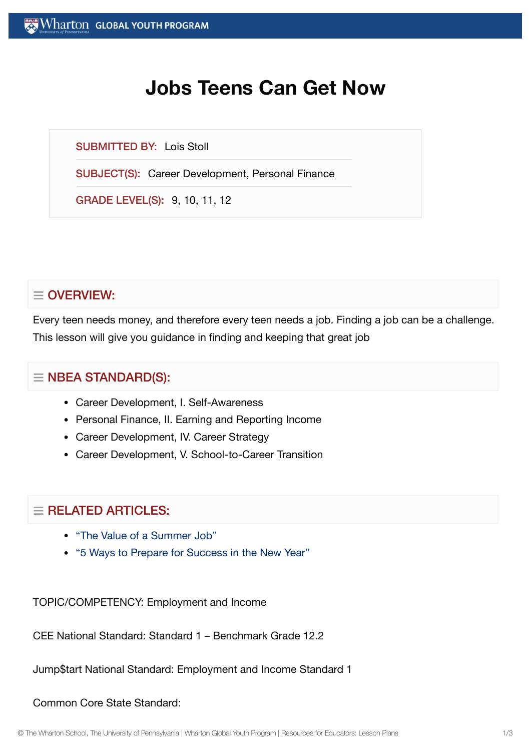# **Jobs Teens Can Get Now**

SUBMITTED BY: Lois Stoll

SUBJECT(S): Career Development, Personal Finance

GRADE LEVEL(S): 9, 10, 11, 12

## $\equiv$  OVERVIEW:

Every teen needs money, and therefore every teen needs a job. Finding a job can be a challenge. This lesson will give you guidance in finding and keeping that great job

### $\equiv$  NBEA STANDARD(S):

- Career Development, I. Self-Awareness
- Personal Finance, II. Earning and Reporting Income
- Career Development, IV. Career Strategy
- Career Development, V. School-to-Career Transition

### $=$  RELATED ARTICLES:

- "The Value of a [Summer](https://globalyouth.wharton.upenn.edu/articles/value-summer-job/) Job"
- "5 Ways to Prepare for [Success in](https://globalyouth.wharton.upenn.edu/articles/a-new-year-and-new-opportunities-are-you-ready/) the New Year"

TOPIC/COMPETENCY: Employment and Income

CEE National Standard: Standard 1 – Benchmark Grade 12.2

Jump\$tart National Standard: Employment and Income Standard 1

#### Common Core State Standard: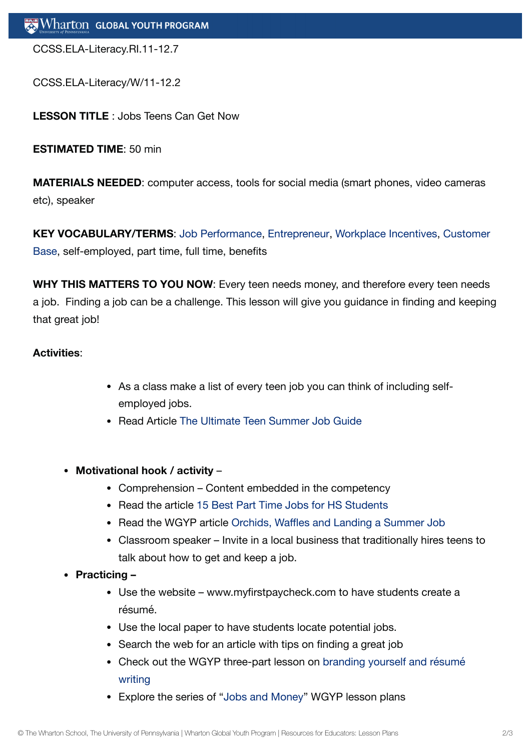CCSS.ELA-Literacy.RI.11-12.7

CCSS.ELA-Literacy/W/11-12.2

**LESSON TITLE** : Jobs Teens Can Get Now

**ESTIMATED TIME**: 50 min

**MATERIALS NEEDED**: computer access, tools for social media (smart phones, video cameras etc), speaker

**KEY [VOCABULARY/TERMS](http://kwhs.w/)**: Job [Performance](http://kwhs.wharton.upenn/), [Entrepreneur](https://globalyouth.wharton.upenn.edu/glossary/entrepreneur/), [Workplace](https://globalyouth.wharton.upenn.edu/glossary/workplace-incentives/) Incentives, Customer Base, self-employed, part time, full time, benefits

**WHY THIS MATTERS TO YOU NOW**: Every teen needs money, and therefore every teen needs a job. Finding a job can be a challenge. This lesson will give you guidance in finding and keeping that great job!

#### **Activities**:

- As a class make a list of every teen job you can think of including selfemployed jobs.
- Read Article The Ultimate Teen [Summer](http://www.boostapal.com/teens-find-summer-jobs) Job Guide
- **Motivational hook / activity**
	- Comprehension Content embedded in the competency
	- Read the article 15 Best Part Time Jobs for HS [Students](http://www.moneycrashers.com/part-time-jobs-high-school-students/)
	- Read the WGYP article Orchids, [Waffles and](https://globalyouth.wharton.upenn.edu/articles/orchids-waffles-and-landing-a-summer-job/) Landing a Summer Job
	- Classroom speaker Invite in a local business that traditionally hires teens to talk about how to get and keep a job.
- **Practicing** 
	- Use the website www.myfirstpaycheck.com to have students create a résumé.
	- Use the local paper to have students locate potential jobs.
	- Search the web for an article with tips on finding a great job
	- Check out the WGYP [three-part](https://globalyouth.wharton.upenn.edu/lesson_plans/branding-yourself-high-school-resume-writing/) lesson on branding yourself and résumé writing
	- Explore the series of "[Jobs and](https://globalyouth.wharton.upenn.edu/lesson_plans/jobs-and-money-the-new-job-market/) Money" WGYP lesson plans